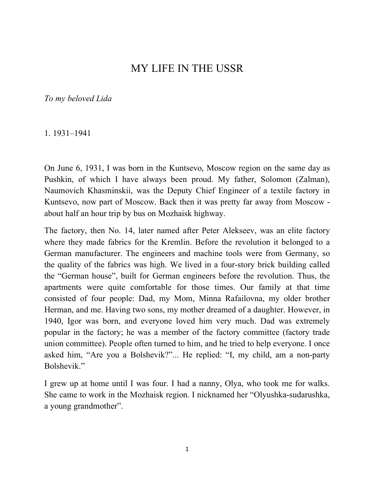# MY LIFE IN THE USSR

*To my beloved Lida*

1. 1931–1941

On June 6, 1931, I was born in the Kuntsevo, Moscow region on the same day as Pushkin, of which I have always been proud. My father, Solomon (Zalman), Naumovich Khasminskii, was the Deputy Chief Engineer of a textile factory in Kuntsevo, now part of Moscow. Back then it was pretty far away from Moscow about half an hour trip by bus on Mozhaisk highway.

The factory, then No. 14, later named after Peter Alekseev, was an elite factory where they made fabrics for the Kremlin. Before the revolution it belonged to a German manufacturer. The engineers and machine tools were from Germany, so the quality of the fabrics was high. We lived in a four-story brick building called the "German house", built for German engineers before the revolution. Thus, the apartments were quite comfortable for those times. Our family at that time consisted of four people: Dad, my Mom, Minna Rafailovna, my older brother Herman, and me. Having two sons, my mother dreamed of a daughter. However, in 1940, Igor was born, and everyone loved him very much. Dad was extremely popular in the factory; he was a member of the factory committee (factory trade union committee). People often turned to him, and he tried to help everyone. I once asked him, "Are you a Bolshevik?"... He replied: "I, my child, am a non-party Bolshevik."

I grew up at home until I was four. I had a nanny, Olya, who took me for walks. She came to work in the Mozhaisk region. I nicknamed her "Olyushka-sudarushka, a young grandmother".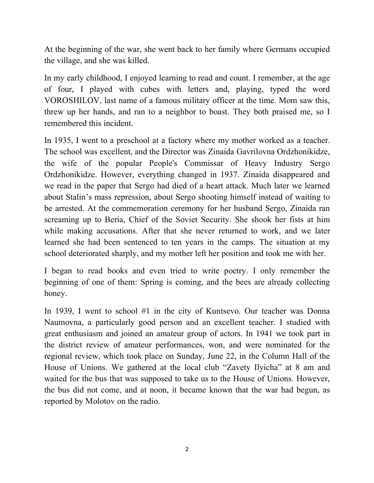At the beginning of the war, she went back to her family where Germans occupied the village, and she was killed.

In my early childhood, I enjoyed learning to read and count. I remember, at the age of four, I played with cubes with letters and, playing, typed the word VOROSHILOV, last name of a famous military officer at the time. Mom saw this, threw up her hands, and ran to a neighbor to boast. They both praised me, so I remembered this incident.

In 1935, I went to a preschool at a factory where my mother worked as a teacher. The school was excellent, and the Director was Zinaida Gavrilovna Ordzhonikidze, the wife of the popular People's Commissar of Heavy Industry Sergo Ordzhonikidze. However, everything changed in 1937. Zinaida disappeared and we read in the paper that Sergo had died of a heart attack. Much later we learned about Stalin's mass repression, about Sergo shooting himself instead of waiting to be arrested. At the commemoration ceremony for her husband Sergo, Zinaida ran screaming up to Beria, Chief of the Soviet Security. She shook her fists at him while making accusations. After that she never returned to work, and we later learned she had been sentenced to ten years in the camps. The situation at my school deteriorated sharply, and my mother left her position and took me with her.

I began to read books and even tried to write poetry. I only remember the beginning of one of them: Spring is coming, and the bees are already collecting honey.

In 1939, I went to school #1 in the city of Kuntsevo. Our teacher was Donna Naumovna, a particularly good person and an excellent teacher. I studied with great enthusiasm and joined an amateur group of actors. In 1941 we took part in the district review of amateur performances, won, and were nominated for the regional review, which took place on Sunday, June 22, in the Column Hall of the House of Unions. We gathered at the local club "Zavety Ilyicha" at 8 am and waited for the bus that was supposed to take us to the House of Unions. However, the bus did not come, and at noon, it became known that the war had begun, as reported by Molotov on the radio.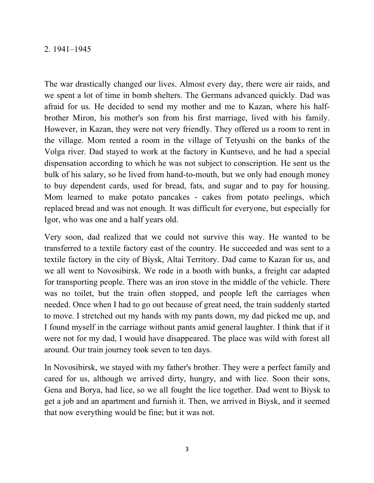## 2. 1941–1945

The war drastically changed our lives. Almost every day, there were air raids, and we spent a lot of time in bomb shelters. The Germans advanced quickly. Dad was afraid for us. He decided to send my mother and me to Kazan, where his halfbrother Miron, his mother's son from his first marriage, lived with his family. However, in Kazan, they were not very friendly. They offered us a room to rent in the village. Mom rented a room in the village of Tetyushi on the banks of the Volga river. Dad stayed to work at the factory in Kuntsevo, and he had a special dispensation according to which he was not subject to conscription. He sent us the bulk of his salary, so he lived from hand-to-mouth, but we only had enough money to buy dependent cards, used for bread, fats, and sugar and to pay for housing. Mom learned to make potato pancakes - cakes from potato peelings, which replaced bread and was not enough. It was difficult for everyone, but especially for Igor, who was one and a half years old.

Very soon, dad realized that we could not survive this way. He wanted to be transferred to a textile factory east of the country. He succeeded and was sent to a textile factory in the city of Biysk, Altai Territory. Dad came to Kazan for us, and we all went to Novosibirsk. We rode in a booth with bunks, a freight car adapted for transporting people. There was an iron stove in the middle of the vehicle. There was no toilet, but the train often stopped, and people left the carriages when needed. Once when I had to go out because of great need, the train suddenly started to move. I stretched out my hands with my pants down, my dad picked me up, and I found myself in the carriage without pants amid general laughter. I think that if it were not for my dad, I would have disappeared. The place was wild with forest all around. Our train journey took seven to ten days.

In Novosibirsk, we stayed with my father's brother. They were a perfect family and cared for us, although we arrived dirty, hungry, and with lice. Soon their sons, Gena and Borya, had lice, so we all fought the lice together. Dad went to Biysk to get a job and an apartment and furnish it. Then, we arrived in Biysk, and it seemed that now everything would be fine; but it was not.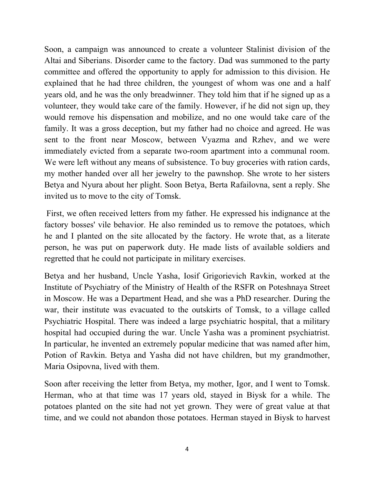Soon, a campaign was announced to create a volunteer Stalinist division of the Altai and Siberians. Disorder came to the factory. Dad was summoned to the party committee and offered the opportunity to apply for admission to this division. He explained that he had three children, the youngest of whom was one and a half years old, and he was the only breadwinner. They told him that if he signed up as a volunteer, they would take care of the family. However, if he did not sign up, they would remove his dispensation and mobilize, and no one would take care of the family. It was a gross deception, but my father had no choice and agreed. He was sent to the front near Moscow, between Vyazma and Rzhev, and we were immediately evicted from a separate two-room apartment into a communal room. We were left without any means of subsistence. To buy groceries with ration cards, my mother handed over all her jewelry to the pawnshop. She wrote to her sisters Betya and Nyura about her plight. Soon Betya, Berta Rafailovna, sent a reply. She invited us to move to the city of Tomsk.

First, we often received letters from my father. He expressed his indignance at the factory bosses' vile behavior. He also reminded us to remove the potatoes, which he and I planted on the site allocated by the factory. He wrote that, as a literate person, he was put on paperwork duty. He made lists of available soldiers and regretted that he could not participate in military exercises.

Betya and her husband, Uncle Yasha, Iosif Grigorievich Ravkin, worked at the Institute of Psychiatry of the Ministry of Health of the RSFR on Poteshnaya Street in Moscow. He was a Department Head, and she was a PhD researcher. During the war, their institute was evacuated to the outskirts of Tomsk, to a village called Psychiatric Hospital. There was indeed a large psychiatric hospital, that a military hospital had occupied during the war. Uncle Yasha was a prominent psychiatrist. In particular, he invented an extremely popular medicine that was named after him, Potion of Ravkin. Betya and Yasha did not have children, but my grandmother, Maria Osipovna, lived with them.

Soon after receiving the letter from Betya, my mother, Igor, and I went to Tomsk. Herman, who at that time was 17 years old, stayed in Biysk for a while. The potatoes planted on the site had not yet grown. They were of great value at that time, and we could not abandon those potatoes. Herman stayed in Biysk to harvest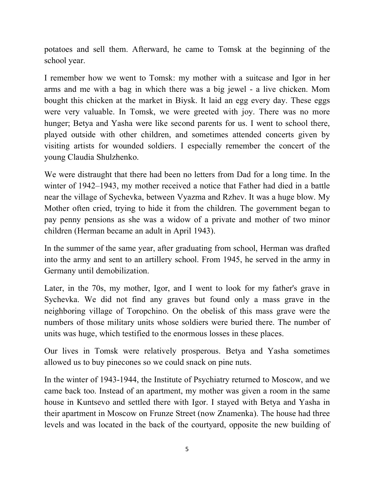potatoes and sell them. Afterward, he came to Tomsk at the beginning of the school year.

I remember how we went to Tomsk: my mother with a suitcase and Igor in her arms and me with a bag in which there was a big jewel - a live chicken. Mom bought this chicken at the market in Biysk. It laid an egg every day. These eggs were very valuable. In Tomsk, we were greeted with joy. There was no more hunger; Betya and Yasha were like second parents for us. I went to school there, played outside with other children, and sometimes attended concerts given by visiting artists for wounded soldiers. I especially remember the concert of the young Claudia Shulzhenko.

We were distraught that there had been no letters from Dad for a long time. In the winter of 1942–1943, my mother received a notice that Father had died in a battle near the village of Sychevka, between Vyazma and Rzhev. It was a huge blow. My Mother often cried, trying to hide it from the children. The government began to pay penny pensions as she was a widow of a private and mother of two minor children (Herman became an adult in April 1943).

In the summer of the same year, after graduating from school, Herman was drafted into the army and sent to an artillery school. From 1945, he served in the army in Germany until demobilization.

Later, in the 70s, my mother, Igor, and I went to look for my father's grave in Sychevka. We did not find any graves but found only a mass grave in the neighboring village of Toropchino. On the obelisk of this mass grave were the numbers of those military units whose soldiers were buried there. The number of units was huge, which testified to the enormous losses in these places.

Our lives in Tomsk were relatively prosperous. Betya and Yasha sometimes allowed us to buy pinecones so we could snack on pine nuts.

In the winter of 1943-1944, the Institute of Psychiatry returned to Moscow, and we came back too. Instead of an apartment, my mother was given a room in the same house in Kuntsevo and settled there with Igor. I stayed with Betya and Yasha in their apartment in Moscow on Frunze Street (now Znamenka). The house had three levels and was located in the back of the courtyard, opposite the new building of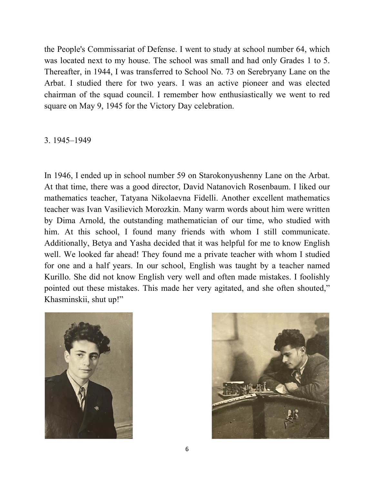the People's Commissariat of Defense. I went to study at school number 64, which was located next to my house. The school was small and had only Grades 1 to 5. Thereafter, in 1944, I was transferred to School No. 73 on Serebryany Lane on the Arbat. I studied there for two years. I was an active pioneer and was elected chairman of the squad council. I remember how enthusiastically we went to red square on May 9, 1945 for the Victory Day celebration.

## 3. 1945–1949

In 1946, I ended up in school number 59 on Starokonyushenny Lane on the Arbat. At that time, there was a good director, David Natanovich Rosenbaum. I liked our mathematics teacher, Tatyana Nikolaevna Fidelli. Another excellent mathematics teacher was Ivan Vasilievich Morozkin. Many warm words about him were written by Dima Arnold, the outstanding mathematician of our time, who studied with him. At this school, I found many friends with whom I still communicate. Additionally, Betya and Yasha decided that it was helpful for me to know English well. We looked far ahead! They found me a private teacher with whom I studied for one and a half years. In our school, English was taught by a teacher named Kurillo. She did not know English very well and often made mistakes. I foolishly pointed out these mistakes. This made her very agitated, and she often shouted," Khasminskii, shut up!"



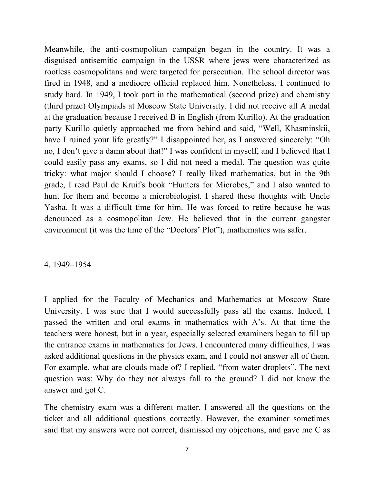Meanwhile, the anti-cosmopolitan campaign began in the country. It was a disguised antisemitic campaign in the USSR where jews were characterized as rootless cosmopolitans and were targeted for persecution. The school director was fired in 1948, and a mediocre official replaced him. Nonetheless, I continued to study hard. In 1949, I took part in the mathematical (second prize) and chemistry (third prize) Olympiads at Moscow State University. I did not receive all A medal at the graduation because I received B in English (from Kurillo). At the graduation party Kurillo quietly approached me from behind and said, "Well, Khasminskii, have I ruined your life greatly?" I disappointed her, as I answered sincerely: "Oh no, I don't give a damn about that!" I was confident in myself, and I believed that I could easily pass any exams, so I did not need a medal. The question was quite tricky: what major should I choose? I really liked mathematics, but in the 9th grade, I read Paul de Kruif's book "Hunters for Microbes," and I also wanted to hunt for them and become a microbiologist. I shared these thoughts with Uncle Yasha. It was a difficult time for him. He was forced to retire because he was denounced as a cosmopolitan Jew. He believed that in the current gangster environment (it was the time of the "Doctors' Plot"), mathematics was safer.

### 4. 1949–1954

I applied for the Faculty of Mechanics and Mathematics at Moscow State University. I was sure that I would successfully pass all the exams. Indeed, I passed the written and oral exams in mathematics with A's. At that time the teachers were honest, but in a year, especially selected examiners began to fill up the entrance exams in mathematics for Jews. I encountered many difficulties, I was asked additional questions in the physics exam, and I could not answer all of them. For example, what are clouds made of? I replied, "from water droplets". The next question was: Why do they not always fall to the ground? I did not know the answer and got C.

The chemistry exam was a different matter. I answered all the questions on the ticket and all additional questions correctly. However, the examiner sometimes said that my answers were not correct, dismissed my objections, and gave me C as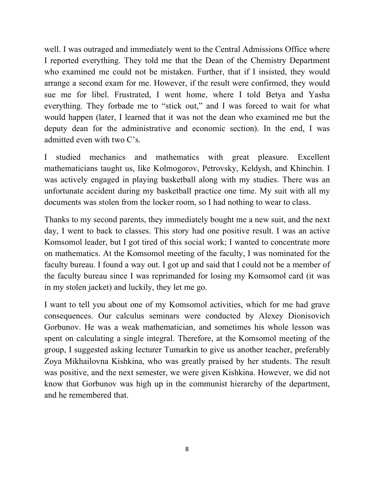well. I was outraged and immediately went to the Central Admissions Office where I reported everything. They told me that the Dean of the Chemistry Department who examined me could not be mistaken. Further, that if I insisted, they would arrange a second exam for me. However, if the result were confirmed, they would sue me for libel. Frustrated, I went home, where I told Betya and Yasha everything. They forbade me to "stick out," and I was forced to wait for what would happen (later, I learned that it was not the dean who examined me but the deputy dean for the administrative and economic section). In the end, I was admitted even with two C's.

I studied mechanics and mathematics with great pleasure. Excellent mathematicians taught us, like Kolmogorov, Petrovsky, Keldysh, and Khinchin. I was actively engaged in playing basketball along with my studies. There was an unfortunate accident during my basketball practice one time. My suit with all my documents was stolen from the locker room, so I had nothing to wear to class.

Thanks to my second parents, they immediately bought me a new suit, and the next day, I went to back to classes. This story had one positive result. I was an active Komsomol leader, but I got tired of this social work; I wanted to concentrate more on mathematics. At the Komsomol meeting of the faculty, I was nominated for the faculty bureau. I found a way out. I got up and said that I could not be a member of the faculty bureau since I was reprimanded for losing my Komsomol card (it was in my stolen jacket) and luckily, they let me go.

I want to tell you about one of my Komsomol activities, which for me had grave consequences. Our calculus seminars were conducted by Alexey Dionisovich Gorbunov. He was a weak mathematician, and sometimes his whole lesson was spent on calculating a single integral. Therefore, at the Komsomol meeting of the group, I suggested asking lecturer Tumarkin to give us another teacher, preferably Zoya Mikhailovna Kishkina, who was greatly praised by her students. The result was positive, and the next semester, we were given Kishkina. However, we did not know that Gorbunov was high up in the communist hierarchy of the department, and he remembered that.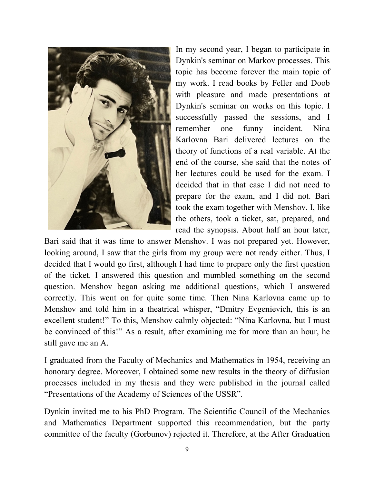

In my second year, I began to participate in Dynkin's seminar on Markov processes. This topic has become forever the main topic of my work. I read books by Feller and Doob with pleasure and made presentations at Dynkin's seminar on works on this topic. I successfully passed the sessions, and I remember one funny incident. Nina Karlovna Bari delivered lectures on the theory of functions of a real variable. At the end of the course, she said that the notes of her lectures could be used for the exam. I decided that in that case I did not need to prepare for the exam, and I did not. Bari took the exam together with Menshov. I, like the others, took a ticket, sat, prepared, and read the synopsis. About half an hour later,

Bari said that it was time to answer Menshov. I was not prepared yet. However, looking around, I saw that the girls from my group were not ready either. Thus, I decided that I would go first, although I had time to prepare only the first question of the ticket. I answered this question and mumbled something on the second question. Menshov began asking me additional questions, which I answered correctly. This went on for quite some time. Then Nina Karlovna came up to Menshov and told him in a theatrical whisper, "Dmitry Evgenievich, this is an excellent student!" To this, Menshov calmly objected: "Nina Karlovna, but I must be convinced of this!" As a result, after examining me for more than an hour, he still gave me an A.

I graduated from the Faculty of Mechanics and Mathematics in 1954, receiving an honorary degree. Moreover, I obtained some new results in the theory of diffusion processes included in my thesis and they were published in the journal called "Presentations of the Academy of Sciences of the USSR".

Dynkin invited me to his PhD Program. The Scientific Council of the Mechanics and Mathematics Department supported this recommendation, but the party committee of the faculty (Gorbunov) rejected it. Therefore, at the After Graduation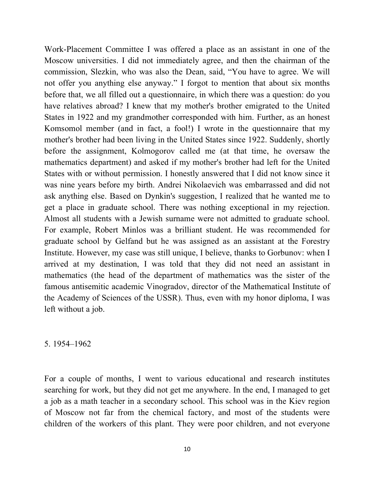Work-Placement Committee I was offered a place as an assistant in one of the Moscow universities. I did not immediately agree, and then the chairman of the commission, Slezkin, who was also the Dean, said, "You have to agree. We will not offer you anything else anyway." I forgot to mention that about six months before that, we all filled out a questionnaire, in which there was a question: do you have relatives abroad? I knew that my mother's brother emigrated to the United States in 1922 and my grandmother corresponded with him. Further, as an honest Komsomol member (and in fact, a fool!) I wrote in the questionnaire that my mother's brother had been living in the United States since 1922. Suddenly, shortly before the assignment, Kolmogorov called me (at that time, he oversaw the mathematics department) and asked if my mother's brother had left for the United States with or without permission. I honestly answered that I did not know since it was nine years before my birth. Andrei Nikolaevich was embarrassed and did not ask anything else. Based on Dynkin's suggestion, I realized that he wanted me to get a place in graduate school. There was nothing exceptional in my rejection. Almost all students with a Jewish surname were not admitted to graduate school. For example, Robert Minlos was a brilliant student. He was recommended for graduate school by Gelfand but he was assigned as an assistant at the Forestry Institute. However, my case was still unique, I believe, thanks to Gorbunov: when I arrived at my destination, I was told that they did not need an assistant in mathematics (the head of the department of mathematics was the sister of the famous antisemitic academic Vinogradov, director of the Mathematical Institute of the Academy of Sciences of the USSR). Thus, even with my honor diploma, I was left without a job.

#### 5. 1954–1962

For a couple of months, I went to various educational and research institutes searching for work, but they did not get me anywhere. In the end, I managed to get a job as a math teacher in a secondary school. This school was in the Kiev region of Moscow not far from the chemical factory, and most of the students were children of the workers of this plant. They were poor children, and not everyone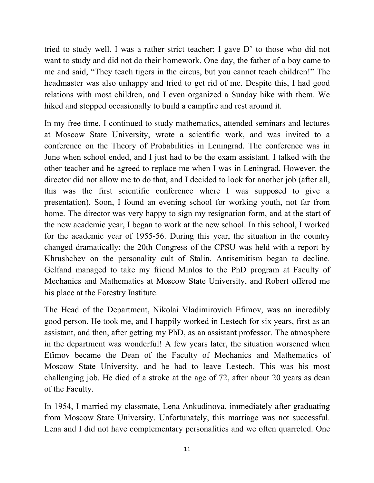tried to study well. I was a rather strict teacher; I gave D' to those who did not want to study and did not do their homework. One day, the father of a boy came to me and said, "They teach tigers in the circus, but you cannot teach children!" The headmaster was also unhappy and tried to get rid of me. Despite this, I had good relations with most children, and I even organized a Sunday hike with them. We hiked and stopped occasionally to build a campfire and rest around it.

In my free time, I continued to study mathematics, attended seminars and lectures at Moscow State University, wrote a scientific work, and was invited to a conference on the Theory of Probabilities in Leningrad. The conference was in June when school ended, and I just had to be the exam assistant. I talked with the other teacher and he agreed to replace me when I was in Leningrad. However, the director did not allow me to do that, and I decided to look for another job (after all, this was the first scientific conference where I was supposed to give a presentation). Soon, I found an evening school for working youth, not far from home. The director was very happy to sign my resignation form, and at the start of the new academic year, I began to work at the new school. In this school, I worked for the academic year of 1955-56. During this year, the situation in the country changed dramatically: the 20th Congress of the CPSU was held with a report by Khrushchev on the personality cult of Stalin. Antisemitism began to decline. Gelfand managed to take my friend Minlos to the PhD program at Faculty of Mechanics and Mathematics at Moscow State University, and Robert offered me his place at the Forestry Institute.

The Head of the Department, Nikolai Vladimirovich Efimov, was an incredibly good person. He took me, and I happily worked in Lestech for six years, first as an assistant, and then, after getting my PhD, as an assistant professor. The atmosphere in the department was wonderful! A few years later, the situation worsened when Efimov became the Dean of the Faculty of Mechanics and Mathematics of Moscow State University, and he had to leave Lestech. This was his most challenging job. He died of a stroke at the age of 72, after about 20 years as dean of the Faculty.

In 1954, I married my classmate, Lena Ankudinova, immediately after graduating from Moscow State University. Unfortunately, this marriage was not successful. Lena and I did not have complementary personalities and we often quarreled. One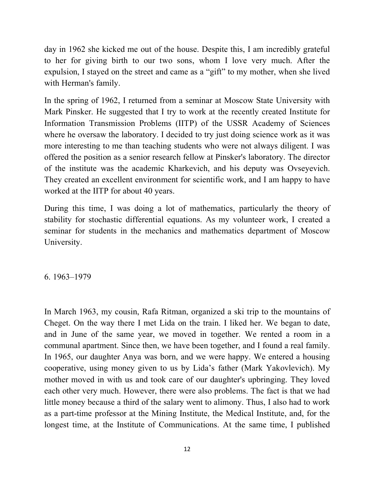day in 1962 she kicked me out of the house. Despite this, I am incredibly grateful to her for giving birth to our two sons, whom I love very much. After the expulsion, I stayed on the street and came as a "gift" to my mother, when she lived with Herman's family.

In the spring of 1962, I returned from a seminar at Moscow State University with Mark Pinsker. He suggested that I try to work at the recently created Institute for Information Transmission Problems (IITP) of the USSR Academy of Sciences where he oversaw the laboratory. I decided to try just doing science work as it was more interesting to me than teaching students who were not always diligent. I was offered the position as a senior research fellow at Pinsker's laboratory. The director of the institute was the academic Kharkevich, and his deputy was Ovseyevich. They created an excellent environment for scientific work, and I am happy to have worked at the IITP for about 40 years.

During this time, I was doing a lot of mathematics, particularly the theory of stability for stochastic differential equations. As my volunteer work, I created a seminar for students in the mechanics and mathematics department of Moscow University.

# 6. 1963–1979

In March 1963, my cousin, Rafa Ritman, organized a ski trip to the mountains of Cheget. On the way there I met Lida on the train. I liked her. We began to date, and in June of the same year, we moved in together. We rented a room in a communal apartment. Since then, we have been together, and I found a real family. In 1965, our daughter Anya was born, and we were happy. We entered a housing cooperative, using money given to us by Lida's father (Mark Yakovlevich). My mother moved in with us and took care of our daughter's upbringing. They loved each other very much. However, there were also problems. The fact is that we had little money because a third of the salary went to alimony. Thus, I also had to work as a part-time professor at the Mining Institute, the Medical Institute, and, for the longest time, at the Institute of Communications. At the same time, I published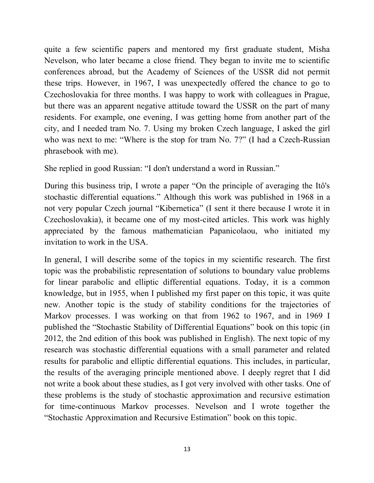quite a few scientific papers and mentored my first graduate student, Misha Nevelson, who later became a close friend. They began to invite me to scientific conferences abroad, but the Academy of Sciences of the USSR did not permit these trips. However, in 1967, I was unexpectedly offered the chance to go to Czechoslovakia for three months. I was happy to work with colleagues in Prague, but there was an apparent negative attitude toward the USSR on the part of many residents. For example, one evening, I was getting home from another part of the city, and I needed tram No. 7. Using my broken Czech language, I asked the girl who was next to me: "Where is the stop for tram No. 7?" (I had a Czech-Russian phrasebook with me).

She replied in good Russian: "I don't understand a word in Russian."

During this business trip, I wrote a paper "On the principle of averaging the Itô's stochastic differential equations." Although this work was published in 1968 in a not very popular Czech journal "Kibernetica" (I sent it there because I wrote it in Czechoslovakia), it became one of my most-cited articles. This work was highly appreciated by the famous mathematician Papanicolaou, who initiated my invitation to work in the USA.

In general, I will describe some of the topics in my scientific research. The first topic was the probabilistic representation of solutions to boundary value problems for linear parabolic and elliptic differential equations. Today, it is a common knowledge, but in 1955, when I published my first paper on this topic, it was quite new. Another topic is the study of stability conditions for the trajectories of Markov processes. I was working on that from 1962 to 1967, and in 1969 I published the "Stochastic Stability of Differential Equations" book on this topic (in 2012, the 2nd edition of this book was published in English). The next topic of my research was stochastic differential equations with a small parameter and related results for parabolic and elliptic differential equations. This includes, in particular, the results of the averaging principle mentioned above. I deeply regret that I did not write a book about these studies, as I got very involved with other tasks. One of these problems is the study of stochastic approximation and recursive estimation for time-continuous Markov processes. Nevelson and I wrote together the "Stochastic Approximation and Recursive Estimation" book on this topic.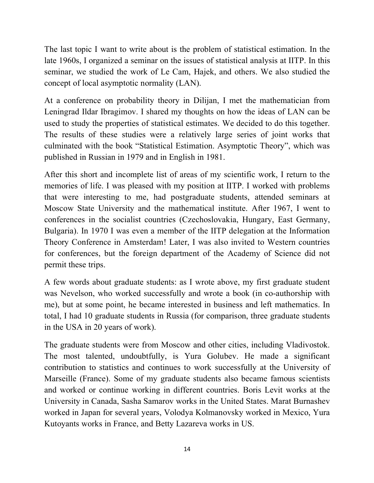The last topic I want to write about is the problem of statistical estimation. In the late 1960s, I organized a seminar on the issues of statistical analysis at IITP. In this seminar, we studied the work of Le Cam, Hajek, and others. We also studied the concept of local asymptotic normality (LAN).

At a conference on probability theory in Dilijan, I met the mathematician from Leningrad Ildar Ibragimov. I shared my thoughts on how the ideas of LAN can be used to study the properties of statistical estimates. We decided to do this together. The results of these studies were a relatively large series of joint works that culminated with the book "Statistical Estimation. Asymptotic Theory", which was published in Russian in 1979 and in English in 1981.

After this short and incomplete list of areas of my scientific work, I return to the memories of life. I was pleased with my position at IITP. I worked with problems that were interesting to me, had postgraduate students, attended seminars at Moscow State University and the mathematical institute. After 1967, I went to conferences in the socialist countries (Czechoslovakia, Hungary, East Germany, Bulgaria). In 1970 I was even a member of the IITP delegation at the Information Theory Conference in Amsterdam! Later, I was also invited to Western countries for conferences, but the foreign department of the Academy of Science did not permit these trips.

A few words about graduate students: as I wrote above, my first graduate student was Nevelson, who worked successfully and wrote a book (in co-authorship with me), but at some point, he became interested in business and left mathematics. In total, I had 10 graduate students in Russia (for comparison, three graduate students in the USA in 20 years of work).

The graduate students were from Moscow and other cities, including Vladivostok. The most talented, undoubtfully, is Yura Golubev. He made a significant contribution to statistics and continues to work successfully at the University of Marseille (France). Some of my graduate students also became famous scientists and worked or continue working in different countries. Boris Levit works at the University in Canada, Sasha Samarov works in the United States. Marat Burnashev worked in Japan for several years, Volodya Kolmanovsky worked in Mexico, Yura Kutoyants works in France, and Betty Lazareva works in US.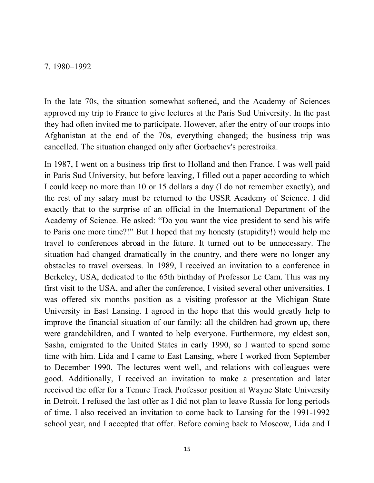#### 7. 1980–1992

In the late 70s, the situation somewhat softened, and the Academy of Sciences approved my trip to France to give lectures at the Paris Sud University. In the past they had often invited me to participate. However, after the entry of our troops into Afghanistan at the end of the 70s, everything changed; the business trip was cancelled. The situation changed only after Gorbachev's perestroika.

In 1987, I went on a business trip first to Holland and then France. I was well paid in Paris Sud University, but before leaving, I filled out a paper according to which I could keep no more than 10 or 15 dollars a day (I do not remember exactly), and the rest of my salary must be returned to the USSR Academy of Science. I did exactly that to the surprise of an official in the International Department of the Academy of Science. He asked: "Do you want the vice president to send his wife to Paris one more time?!" But I hoped that my honesty (stupidity!) would help me travel to conferences abroad in the future. It turned out to be unnecessary. The situation had changed dramatically in the country, and there were no longer any obstacles to travel overseas. In 1989, I received an invitation to a conference in Berkeley, USA, dedicated to the 65th birthday of Professor Le Cam. This was my first visit to the USA, and after the conference, I visited several other universities. I was offered six months position as a visiting professor at the Michigan State University in East Lansing. I agreed in the hope that this would greatly help to improve the financial situation of our family: all the children had grown up, there were grandchildren, and I wanted to help everyone. Furthermore, my eldest son, Sasha, emigrated to the United States in early 1990, so I wanted to spend some time with him. Lida and I came to East Lansing, where I worked from September to December 1990. The lectures went well, and relations with colleagues were good. Additionally, I received an invitation to make a presentation and later received the offer for a Tenure Track Professor position at Wayne State University in Detroit. I refused the last offer as I did not plan to leave Russia for long periods of time. I also received an invitation to come back to Lansing for the 1991-1992 school year, and I accepted that offer. Before coming back to Moscow, Lida and I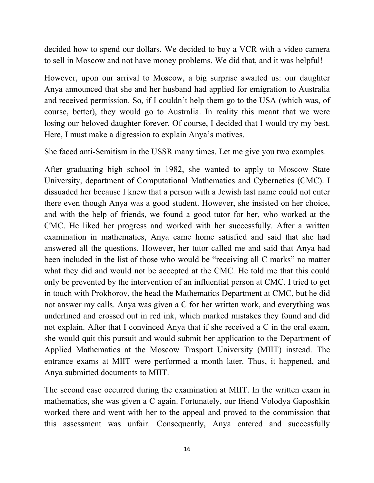decided how to spend our dollars. We decided to buy a VCR with a video camera to sell in Moscow and not have money problems. We did that, and it was helpful!

However, upon our arrival to Moscow, a big surprise awaited us: our daughter Anya announced that she and her husband had applied for emigration to Australia and received permission. So, if I couldn't help them go to the USA (which was, of course, better), they would go to Australia. In reality this meant that we were losing our beloved daughter forever. Of course, I decided that I would try my best. Here, I must make a digression to explain Anya's motives.

She faced anti-Semitism in the USSR many times. Let me give you two examples.

After graduating high school in 1982, she wanted to apply to Moscow State University, department of Computational Mathematics and Cybernetics (CMC). I dissuaded her because I knew that a person with a Jewish last name could not enter there even though Anya was a good student. However, she insisted on her choice, and with the help of friends, we found a good tutor for her, who worked at the CMC. He liked her progress and worked with her successfully. After a written examination in mathematics, Anya came home satisfied and said that she had answered all the questions. However, her tutor called me and said that Anya had been included in the list of those who would be "receiving all C marks" no matter what they did and would not be accepted at the CMC. He told me that this could only be prevented by the intervention of an influential person at CMC. I tried to get in touch with Prokhorov, the head the Mathematics Department at CMC, but he did not answer my calls. Anya was given a C for her written work, and everything was underlined and crossed out in red ink, which marked mistakes they found and did not explain. After that I convinced Anya that if she received a C in the oral exam, she would quit this pursuit and would submit her application to the Department of Applied Mathematics at the Moscow Trasport University (MIIT) instead. The entrance exams at MIIT were performed a month later. Thus, it happened, and Anya submitted documents to MIIT.

The second case occurred during the examination at MIIT. In the written exam in mathematics, she was given a C again. Fortunately, our friend Volodya Gaposhkin worked there and went with her to the appeal and proved to the commission that this assessment was unfair. Consequently, Anya entered and successfully